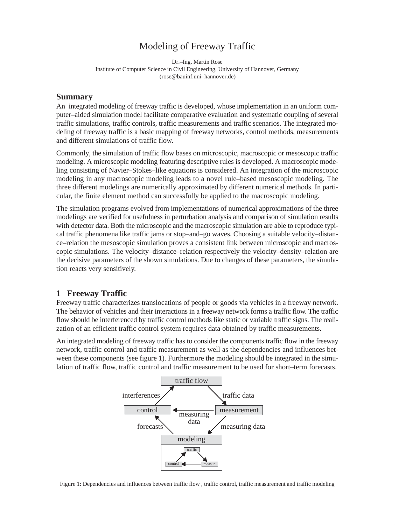# Modeling of Freeway Traffic

Dr.–Ing. Martin Rose Institute of Computer Science in Civil Engineering, University of Hannover, Germany (rose@bauinf.uni–hannover.de)

### **Summary**

An integrated modeling of freeway traffic is developed, whose implementation in an uniform computer–aided simulation model facilitate comparative evaluation and systematic coupling of several traffic simulations, traffic controls, traffic measurements and traffic scenarios. The integrated modeling of freeway traffic is a basic mapping of freeway networks, control methods, measurements and different simulations of traffic flow.

Commonly, the simulation of traffic flow bases on microscopic, macroscopic or mesoscopic traffic modeling. A microscopic modeling featuring descriptive rules is developed. A macroscopic modeling consisting of Navier–Stokes–like equations is considered. An integration of the microscopic modeling in any macroscopic modeling leads to a novel rule–based mesoscopic modeling. The three different modelings are numerically approximated by different numerical methods. In particular, the finite element method can successfully be applied to the macroscopic modeling.

The simulation programs evolved from implementations of numerical approximations of the three modelings are verified for usefulness in perturbation analysis and comparison of simulation results with detector data. Both the microscopic and the macroscopic simulation are able to reproduce typical traffic phenomena like traffic jams or stop–and–go waves. Choosing a suitable velocity–distance–relation the mesoscopic simulation proves a consistent link between microscopic and macroscopic simulations. The velocity–distance–relation respectively the velocity–density–relation are the decisive parameters of the shown simulations. Due to changes of these parameters, the simulation reacts very sensitively.

### **1 Freeway Traffic**

Freeway traffic characterizes translocations of people or goods via vehicles in a freeway network. The behavior of vehicles and their interactions in a freeway network forms a traffic flow. The traffic flow should be interferenced by traffic control methods like static or variable traffic signs. The realization of an efficient traffic control system requires data obtained by traffic measurements.

An integrated modeling of freeway traffic has to consider the components traffic flow in the freeway network, traffic control and traffic measurement as well as the dependencies and influences between these components (see figure 1). Furthermore the modeling should be integrated in the simulation of traffic flow, traffic control and traffic measurement to be used for short–term forecasts.



Figure 1: Dependencies and influences between traffic flow , traffic control, traffic measurement and traffic modeling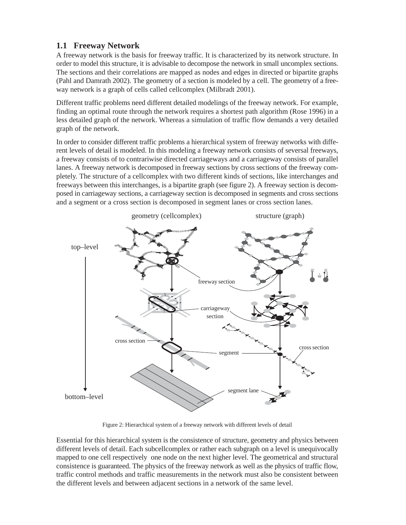# **1.1 Freeway Network**

A freeway network is the basis for freeway traffic. It is characterized by its network structure. In order to model this structure, it is advisable to decompose the network in small uncomplex sections. The sections and their correlations are mapped as nodes and edges in directed or bipartite graphs (Pahl and Damrath 2002). The geometry of a section is modeled by a cell. The geometry of a freeway network is a graph of cells called cellcomplex (Milbradt 2001).

Different traffic problems need different detailed modelings of the freeway network. For example, finding an optimal route through the network requires a shortest path algorithm (Rose 1996) in a less detailed graph of the network. Whereas a simulation of traffic flow demands a very detailed graph of the network.

In order to consider different traffic problems a hierarchical system of freeway networks with different levels of detail is modeled. In this modeling a freeway network consists of seversal freeways, a freeway consists of to contrariwise directed carriageways and a carriageway consists of parallel lanes. A freeway network is decomposed in freeway sections by cross sections of the freeway completely. The structure of a cellcomplex with two different kinds of sections, like interchanges and freeways between this interchanges, is a bipartite graph (see figure 2). A freeway section is decomposed in carriageway sections, a carriageway section is decomposed in segments and cross sections and a segment or a cross section is decomposed in segment lanes or cross section lanes.



Figure 2: Hierarchical system of a freeway network with different levels of detail

Essential for this hierarchical system is the consistence of structure, geometry and physics between different levels of detail. Each subcellcomplex or rather each subgraph on a level is unequivocally mapped to one cell respectively one node on the next higher level. The geometrical and structural consistence is guaranteed. The physics of the freeway network as well as the physics of traffic flow, traffic control methods and traffic measurements in the network must also be consistent between the different levels and between adjacent sections in a network of the same level.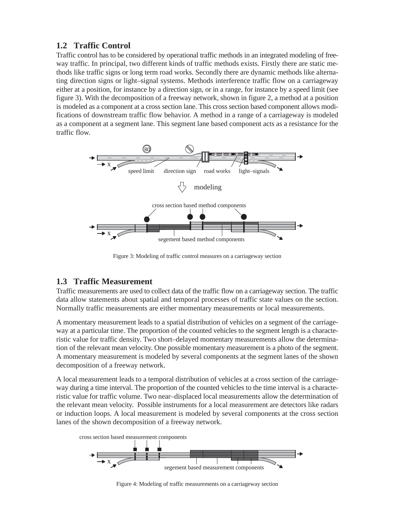# **1.2 Traffic Control**

Traffic control has to be considered by operational traffic methods in an integrated modeling of freeway traffic. In principal, two different kinds of traffic methods exists. Firstly there are static methods like traffic signs or long term road works. Secondly there are dynamic methods like alternating direction signs or light–signal systems. Methods interference traffic flow on a carriageway either at a position, for instance by a direction sign, or in a range, for instance by a speed limit (see figure 3). With the decomposition of a freeway network, shown in figure 2, a method at a position is modeled as a component at a cross section lane. This cross section based component allows modifications of downstream traffic flow behavior. A method in a range of a carriageway is modeled as a component at a segment lane. This segment lane based component acts as a resistance for the traffic flow.



Figure 3: Modeling of traffic control measures on a carriageway section

## **1.3 Traffic Measurement**

Traffic measurements are used to collect data of the traffic flow on a carriageway section. The traffic data allow statements about spatial and temporal processes of traffic state values on the section. Normally traffic measurements are either momentary measurements or local measurements.

A momentary measurement leads to a spatial distribution of vehicles on a segment of the carriageway at a particular time. The proportion of the counted vehicles to the segment length is a characteristic value for traffic density. Two short–delayed momentary measurements allow the determination of the relevant mean velocity. One possible momentary measurement is a photo of the segment. A momentary measurement is modeled by several components at the segment lanes of the shown decomposition of a freeway network.

A local measurement leads to a temporal distribution of vehicles at a cross section of the carriageway during a time interval. The proportion of the counted vehicles to the time interval is a characteristic value for traffic volume. Two near–displaced local measurements allow the determination of the relevant mean velocity. Possible instruments for a local measurement are detectors like radars or induction loops. A local measurement is modeled by several components at the cross section lanes of the shown decomposition of a freeway network.



Figure 4: Modeling of traffic measurements on a carriageway section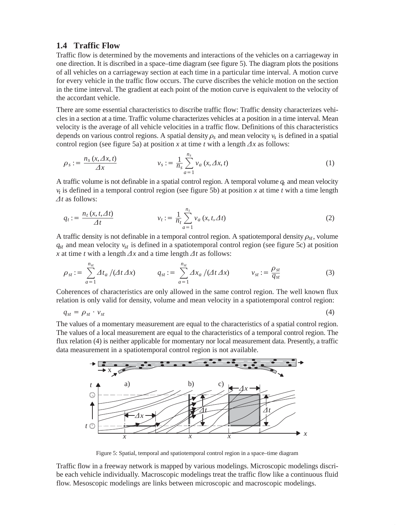#### **1.4 Traffic Flow**

Traffic flow is determined by the movements and interactions of the vehicles on a carriageway in one direction. It is discribed in a space–time diagram (see figure 5). The diagram plots the positions of all vehicles on a carriageway section at each time in a particular time interval. A motion curve for every vehicle in the traffic flow occurs. The curve discribes the vehicle motion on the section in the time interval. The gradient at each point of the motion curve is equivalent to the velocity of the accordant vehicle.

There are some essential characteristics to discribe traffic flow: Traffic density characterizes vehicles in a section at a time. Traffic volume characterizes vehicles at a position in a time interval. Mean velocity is the average of all vehicle velocities in a traffic flow. Definitions of this characteristics depends on various control regions. A spatial density  $\rho_s$  and mean velocity  $v_s$  is defined in a spatial control region (see figure 5a) at position *x* at time *t* with a length  $\Delta x$  as follows:

$$
\rho_s := \frac{n_s(x, \Delta x, t)}{\Delta x} \qquad \qquad v_s := \frac{1}{n_s} \sum_{a=1}^{n_s} v_a(x, \Delta x, t) \tag{1}
$$

A traffic volume is not definable in a spatial control region. A temporal volume  $q_t$  and mean velocity  $v_t$  is defined in a temporal control region (see figure 5b) at position *x* at time *t* with a time length  $\Delta t$  as follows: -

$$
q_t := \frac{n_t(x, t, \Delta t)}{\Delta t} \qquad \qquad v_t := \frac{1}{n_t} \sum_{a=1}^{n_t} v_a(x, t, \Delta t) \tag{2}
$$

A traffic density is not definable in a temporal control region. A spatiotemporal density  $\rho_{st}$ , volume *qst* and mean velocity *vst* is defined in a spatiotemporal control region (see figure 5c) at position

x at time *t* with a length 
$$
\Delta x
$$
 and a time length  $\Delta t$  as follows:  
\n
$$
\rho_{st} := \sum_{a=1}^{n_{st}} \Delta t_a / (\Delta t \Delta x) \qquad q_{st} := \sum_{a=1}^{n_{st}} \Delta x_a / (\Delta t \Delta x) \qquad v_{st} := \frac{\rho_{st}}{q_{st}}
$$
\n(3)

Coherences of characteristics are only allowed in the same control region. The well known flux

relation is only valid for density, volume and mean velocity in a spatiotemporal control region: 
$$
q_{st} = \rho_{st} \cdot v_{st}
$$
 (4)

The values of a momentary measurement are equal to the characteristics of a spatial control region. The values of a local measurement are equal to the characteristics of a temporal control region. The flux relation (4) is neither applicable for momentary nor local measurement data. Presently, a traffic data measurement in a spatiotemporal control region is not available.



Figure 5: Spatial, temporal and spatiotemporal control region in a space–time diagram

Traffic flow in a freeway network is mapped by various modelings. Microscopic modelings discribe each vehicle individually. Macroscopic modelings treat the traffic flow like a continuous fluid flow. Mesoscopic modelings are links between microscopic and macroscopic modelings.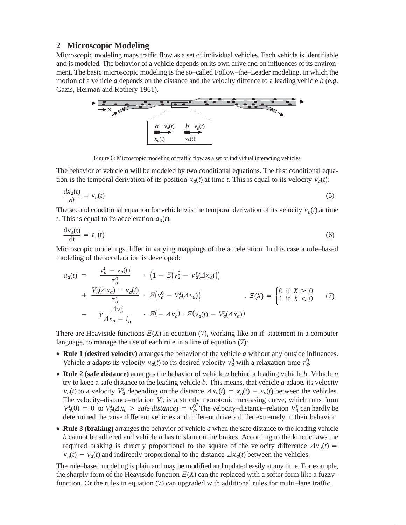### **2 Microscopic Modeling**

Microscopic modeling maps traffic flow as a set of individual vehicles. Each vehicle is identifiable and is modeled. The behavior of a vehicle depends on its own drive and on influences of its environment. The basic microscopic modeling is the so–called Follow–the–Leader modeling, in which the motion of a vehicle *a* depends on the distance and the velocity diffence to a leading vehicle *b* (e.g. Gazis, Herman and Rothery 1961).



Figure 6: Microscopic modeling of traffic flow as a set of individual interacting vehicles

The behavior of vehicle *a* will be modeled by two conditional equations. The first conditional equation is the temporal derivation of its position  $x_a(t)$  at time *t*. This is equal to its velocity  $v_a(t)$ :

$$
\frac{dx_a(t)}{dt} = v_a(t) \tag{5}
$$

The second conditional equation for vehicle *a* is the temporal derivation of its velocity  $v_a(t)$  at time *t*. This is equal to its acceleration  $a_a(t)$ :

$$
\frac{dv_a(t)}{dt} = a_a(t) \tag{6}
$$

Microscopic modelings differ in varying mappings of the acceleration. In this case a rule–based modeling of the acceleration is developed:

$$
a_a(t) = \frac{v_a^0 - v_a(t)}{\tau_a^0} \cdot \left(1 - E(v_a^0 - V_a^s(\Delta x_a))\right)
$$
  
+ 
$$
\frac{V_a^s(\Delta x_a) - v_a(t)}{\tau_a^s} \cdot E(v_a^0 - V_a^s(\Delta x_a)) \qquad , \quad E(X) = \begin{cases} 0 \text{ if } X \ge 0 \\ 1 \text{ if } X < 0 \end{cases} (7)
$$
  
- 
$$
\gamma \frac{\Delta v_a^2}{\Delta x_a - l_b} \cdot E(-\Delta v_a) \cdot E(v_a(t) - V_a^s(\Delta x_a))
$$

There are Heaviside functions  $E(X)$  in equation (7), working like an if-statement in a computer language, to manage the use of each rule in a line of equation (7):

- **Rule 1 (desired velocity)** arranges the behavior of the vehicle *a* without any outside influences. Vehicle *a* adapts its velocity  $v_a(t)$  to its desired velocity  $v_a^0$  with a relaxation time  $\tau_a^0$ .
- **Rule 2 (safe distance)** arranges the behavior of vehicle *a* behind a leading vehicle *b.* Vehicle *a* try to keep a safe distance to the leading vehicle *b*. This means, that vehicle *a* adapts its velocity *va*(*t*) to a velocity  $V_a^s$  depending on the distance  $\Delta x_a(t) = x_b(t) - x_a(t)$  between the vehicles. The velocity–distance–relation  $V_a^s$  is a strictly monotonic increasing curve, which runs from The velocity–distance–relation  $V_a^s$  is a strictly monotonic increasing curve, which runs from  $V_a^s(0) = 0$  to  $V_a^s(\Delta x_a > safe$  distance) =  $v_a^0$ . The velocity–distance–relation  $V_a^s$  can hardly be determined, because different vehicles and different drivers differ extremely in their behavior.
- **Rule 3 (braking)** arranges the behavior of vehicle *a* when the safe distance to the leading vehicle *b* cannot be adhered and vehicle *a* has to slam on the brakes. According to the kinetic laws the *b* cannot be adhered and vehicle *a* has to slam on the brakes. According to the kinetic laws the required braking is directly proportional to the square of the velocity difference  $\Delta v_a(t)$  = required braking is directly proportional to the square of the velocity difference  $v_b(t) - v_a(t)$  and indirectly proportional to the distance  $\Delta x_a(t)$  between the vehicles.

The rule–based modeling is plain and may be modified and updated easily at any time. For example, the sharply form of the Heaviside function  $E(X)$  can the replaced with a softer form like a fuzzy– function. Or the rules in equation (7) can upgraded with additional rules for multi–lane traffic.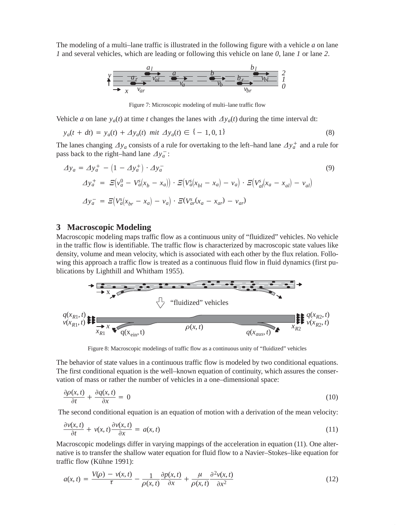The modeling of a multi–lane traffic is illustrated in the following figure with a vehicle *a* on lane *1* and several vehicles, which are leading or following this vehicle on lane *0*, lane *1* or lane *2*.



Figure 7: Microscopic modeling of multi–lane traffic flow

Vehicle *a* on lane  $y_a(t)$  at time *t* changes the lanes with  $\Delta y_a(t)$  during the time interval dt:

$$
y_a(t + dt) = y_a(t) + \Delta y_a(t) \text{ mit } \Delta y_a(t) \in \{-1, 0, 1\}
$$
\n(8)

The lanes changing  $\Delta y_a$  consists of a rule for overtaking to the left–hand lane  $\Delta y_a^+$  and a rule for The lanes changing  $\Delta y_a$  consists of a ripass back to the right–hand lane  $\Delta y_a^-$ :

$$
\Delta y_a = \Delta y_a^+ - (1 - \Delta y_a^+) \cdot \Delta y_a^-
$$
  
\n
$$
\Delta y_a^+ = E(v_a^0 - V_a^s(x_b - x_a)) \cdot E(V_a^s(x_{bl} - x_a) - v_a) \cdot E(V_a^s(x_a - x_{al}) - v_{al})
$$
  
\n
$$
\Delta y_a^- = E(V_a^s(x_{br} - x_a) - v_a) \cdot E(V_a^s(x_a - x_{ar}) - v_{ar})
$$
\n(9)

#### **3 Macroscopic Modeling**

Macroscopic modeling maps traffic flow as a continuous unity of "fluidized" vehicles. No vehicle in the traffic flow is identifiable. The traffic flow is characterized by macroscopic state values like density, volume and mean velocity, which is associated with each other by the flux relation. Following this approach a traffic flow is treated as a continuous fluid flow in fluid dynamics (first publications by Lighthill and Whitham 1955).



Figure 8: Macroscopic modelings of traffic flow as a continuous unity of "fluidized" vehicles

The behavior of state values in a continuous traffic flow is modeled by two conditional equations. The first conditional equation is the well–known equation of continuity, which assures the conservation of mass or rather the number of vehicles in a one–dimensional space: Ĩ

$$
\frac{\partial \rho(x,t)}{\partial t} + \frac{\partial q(x,t)}{\partial x} = 0
$$
\n(10)

The second conditional equation is an equation of motion with a derivation of the mean velocity:

$$
\frac{\partial v(x,t)}{\partial t} + v(x,t) \frac{\partial v(x,t)}{\partial x} = a(x,t)
$$
\n(11)

Macroscopic modelings differ in varying mappings of the acceleration in equation (11). One alternative is to transfer the shallow water equation for fluid flow to a Navier–Stokes–like equation for traffic flow (Kühne 1991):

$$
a(x,t) = \frac{V(\rho) - v(x,t)}{\tau} - \frac{1}{\rho(x,t)} \frac{\partial p(x,t)}{\partial x} + \frac{\mu}{\rho(x,t)} \frac{\partial^2 v(x,t)}{\partial x^2}
$$
(12)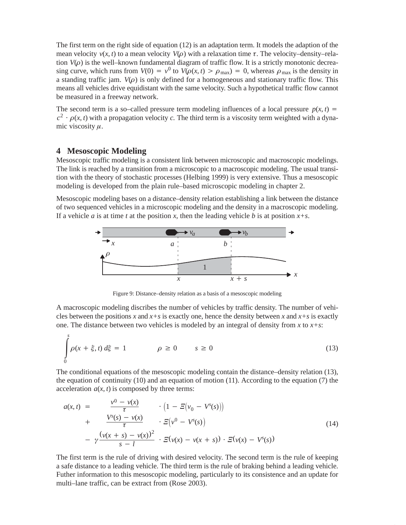The first term on the right side of equation (12) is an adaptation term. It models the adaption of the mean velocity  $v(x, t)$  to a mean velocity  $V(\rho)$  with a relaxation time  $\tau$ . The velocity–density–relation  $V(\rho)$  is the well–known fundamental diagram of traffic flow. It is a strictly monotonic decreasing curve, which runs from  $V(0) = v^0$  to  $V(\rho(x, t) > \rho_{\text{max}}) = 0$ , whereas  $\rho_{\text{max}}$  is the density in a standing traffic jam.  $V(\rho)$  is only defined for a homogeneous and stationary traffic flow. This means all vehicles drive equidistant with the same velocity. Such a hypothetical traffic flow cannot be measured in a freeway network.

The second term is a so–called pressure term modeling influences of a local pressure  $p(x, t)$  =  $c^2$   $\cdot$   $\rho(x, t)$  with a propagation velocity *c*. The third term is a viscosity term weighted with a dynamic viscosity  $\mu$ .

#### **4 Mesoscopic Modeling**

Mesoscopic traffic modeling is a consistent link between microscopic and macroscopic modelings. The link is reached by a transition from a microscopic to a macroscopic modeling. The usual transition with the theory of stochastic processes (Helbing 1999) is very extensive. Thus a mesoscopic modeling is developed from the plain rule–based microscopic modeling in chapter 2.

Mesoscopic modeling bases on a distance–density relation establishing a link between the distance of two sequenced vehicles in a microscopic modeling and the density in a macroscopic modeling. If a vehicle *a* is at time *t* at the position *x*, then the leading vehicle *b* is at position  $x + s$ .



Figure 9: Distance–density relation as a basis of a mesoscopic modeling

A macroscopic modeling discribes the number of vehicles by traffic density. The number of vehicles between the positions *x* and  $x + s$  is exactly one, hence the density between *x* and  $x + s$  is exactly one. The distance between two vehicles is modeled by an integral of density from *x* to  $x + s$ :

$$
\int_{0}^{s} \rho(x + \xi, t) d\xi = 1 \qquad \rho \ge 0 \qquad s \ge 0
$$
\n(13)

The conditional equations of the mesoscopic modeling contain the distance–density relation (13), the equation of continuity  $(10)$  and an equation of motion  $(11)$ . According to the equation  $(7)$  the acceleration  $a(x, t)$  is composed by three terms:

$$
a(x, t) = \frac{v^{0} - v(x)}{\tau} \cdot (1 - \Xi(v_{0} - V^{s}(s)))
$$
  
+ 
$$
\frac{V^{s}(s) - v(x)}{\tau} \cdot \Xi(v^{0} - V^{s}(s))
$$
  
- 
$$
\gamma \frac{(v(x + s) - v(x))^{2}}{s - l} \cdot \Xi(v(x) - v(x + s)) \cdot \Xi(v(x) - V^{s}(s))
$$
 (14)

The first term is the rule of driving with desired velocity. The second term is the rule of keeping a safe distance to a leading vehicle. The third term is the rule of braking behind a leading vehicle. Futher information to this mesoscopic modeling, particularly to its consistence and an update for multi–lane traffic, can be extract from (Rose 2003).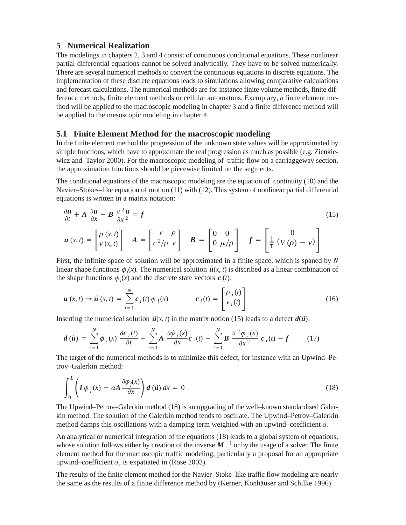#### **5 Numerical Realization**

The modelings in chapters 2, 3 and 4 consist of continuous conditional equations. These nonlinear partial differential equations cannot be solved analytically. They have to be solved numerically. There are several numerical methods to convert the continuous equations in discrete equations. The implementation of these discrete equations leads to simulations allowing comparative calculations and forecast calculations. The numerical methods are for instance finite volume methods, finite difference methods, finite element methods or cellular automatons. Exemplary, a finite element method will be applied to the macroscopic modeling in chapter 3 and a finite difference method will be applied to the mesoscopic modeling in chapter 4.

#### **5.1 Finite Element Method for the macroscopic modeling**

In the finite element method the progression of the unknown state values will be approximated by simple functions, which have to approximate the real progression as much as possible (e.g. Zienkiewicz and Taylor 2000). For the macroscopic modeling of traffic flow on a carriaggeway section, the approximation functions should be piecewise limited on the segments.

The conditional equations of the macroscopic modeling are the equation of continuity (10) and the Navier–Stokes–like equation of motion (11) with (12). This system of nonlinear partial differential equations is written in a matrix notation:

$$
\frac{\partial u}{\partial t} + A \frac{\partial u}{\partial x} - B \frac{\partial^2 u}{\partial x^2} = f \tag{15}
$$
\n
$$
u(x, t) = \begin{bmatrix} \rho(x, t) \\ v(x, t) \end{bmatrix} \quad A = \begin{bmatrix} v & \rho \\ c^2/\rho & v \end{bmatrix} \quad B = \begin{bmatrix} 0 & 0 \\ 0 & \mu/\rho \end{bmatrix} \quad f = \begin{bmatrix} 0 \\ \frac{1}{\tau} (V(\rho) - v) \end{bmatrix}
$$

First, the infinite space of solution will be approximated in a finite space, which is spaned by *N*

linear shape functions 
$$
\phi_i(x)
$$
. The numerical solution  $\tilde{u}(x, t)$  is discretised as a linear combination of  
the shape functions  $\phi_i(x)$  and the discrete state vectors  $c_i(t)$ :  

$$
u(x, t) \rightarrow \tilde{u}(x, t) = \sum_{i=1}^N c_i(t) \phi_i(x) \qquad c_i(t) = \begin{bmatrix} \rho_i(t) \\ v_i(t) \end{bmatrix}
$$
(16)

Inserting the numerical solution 
$$
\tilde{u}(x, t)
$$
 in the matrix notion (15) leads to a defect  $d(\tilde{u})$ :  
\n
$$
d(\tilde{u}) = \sum_{i=1}^{N} \phi_i(x) \frac{\partial c_i(t)}{\partial t} + \sum_{i=1}^{N} A \frac{\partial \phi_i(x)}{\partial x} c_i(t) - \sum_{i=1}^{N} B \frac{\partial^2 \phi_i(x)}{\partial x^2} c_i(t) - f
$$
\n(17)

trov–Galerkin method:

The target of the numerical methods is to minimize this defect, for instance with an Upwind–Pe-  
trov–Galerkin method:  

$$
\int_0^L \left( I \phi_j(x) + \alpha A \frac{\partial \phi_j(x)}{\partial x} \right) d(\tilde{u}) dx = 0
$$
(18)

The Upwind–Petrov–Galerkin method (18) is an upgrading of the well–known standardised Galerkin method. The solution of the Galerkin method tends to oscillate. The Upwind–Petrov–Galerkin method damps this oscillations with a damping term weighted with an upwind–coefficient  $\alpha$ .

An analytical or numerical integration of the equations (18) leads to a global system of equations, An analytical or numerical integration of the equations (18) leads to a global system of equations, whose solution follows either by creation of the inverse  $M^{-1}$  or by the usage of a solver. The finite element method for the macroscopic traffic modeling, particularly a proposal for an appropriate upwind–coefficient  $\alpha$ , is expatiated in (Rose 2003).

The results of the finite element method for the Navier–Stoke–like traffic flow modeling are nearly the same as the results of a finite difference method by (Kerner, Konhäuser and Schilke 1996).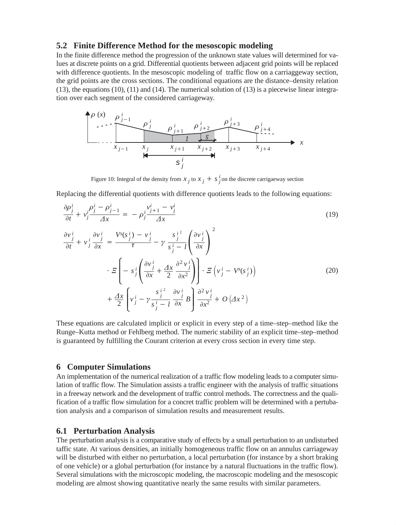#### **5.2 Finite Difference Method for the mesoscopic modeling**

In the finite difference method the progression of the unknown state values will determined for values at discrete points on a grid. Differential quotients between adjacent grid points will be replaced with difference quotients. In the mesoscopic modeling of traffic flow on a carriaggeway section, the grid points are the cross sections. The conditional equations are the distance–density relation (13), the equations (10), (11) and (14). The numerical solution of (13) is a piecewise linear integration over each segment of the considered carriageway.



Figure 10: Integral of the density from  $x_j$  to  $x_j + s_j$  on the discrete carrigaeway section

Replacing the differential quotients with difference quotients leads to the following equations: f,

$$
\frac{\partial \rho_j^i}{\partial t} + v_j^i \frac{\rho_j^i - \rho_{j-1}^i}{\Delta x} = -\rho_j^i \frac{v_{j+1}^i - v_j^i}{\Delta x}
$$
\n
$$
\frac{\partial v_j^i}{\partial t} + v_j^i \frac{\partial v_j^i}{\partial x} = \frac{V^s(s_j^i) - v_j^i}{\tau} - \gamma \frac{s_j^i}{s_j^i - l} \left(\frac{\partial v_j^i}{\partial x}\right)^2
$$
\n
$$
\cdot \Xi \left[ -s_j^i \left(\frac{\partial v_j^i}{\partial x} + \frac{\Delta x}{2} \frac{\partial^2 v_j^i}{\partial x^2}\right) \right] \cdot \Xi \left(v_j^i - V^s(s_j^i)\right)
$$
\n
$$
+ \frac{\Delta x}{2} \left(v_j^i - \gamma \frac{s_j^{i^2}}{s_j^i - l} \frac{\partial v_j^i}{\partial x} B\right) \frac{\partial^2 v_j^i}{\partial x^2} + O\left(\Delta x^2\right)
$$
\n(20)

These equations are calculated implicit or explicit in every step of a time–step–method like the Runge–Kutta method or Fehlberg method. The numeric stability of an explicit time–step–method is guaranteed by fulfilling the Courant criterion at every cross section in every time step.

#### **6 Computer Simulations**

An implementation of the numerical realization of a traffic flow modeling leads to a computer simulation of traffic flow. The Simulation assists a traffic engineer with the analysis of traffic situations in a freeway network and the development of traffic control methods. The correctness and the qualification of a traffic flow simulation for a concret traffic problem will be determined with a pertubation analysis and a comparison of simulation results and measurement results.

#### **6.1 Perturbation Analysis**

The perturbation analysis is a comparative study of effects by a small perturbation to an undisturbed taffic state. At various densities, an initially homogeneous traffic flow on an annulus carriageway will be disturbed with either no perturbation, a local perturbation (for instance by a short braking of one vehicle) or a global perturbation (for instance by a natural fluctuations in the traffic flow). Several simulations with the microscopic modeling, the macroscopic modeling and the mesoscopic modeling are almost showing quantitative nearly the same results with similar parameters.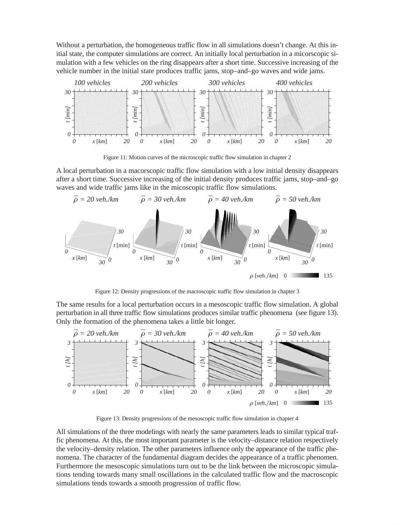Without a perturbation, the homogeneous traffic flow in all simulations doesn't change. At this initial state, the computer simulations are correct. An initially local perturbation in a micorscopic simulation with a few vehicles on the ring disappears after a short time. Successive increasing of the vehicle number in the initial state produces traffic jams, stop–and–go waves and wide jams.



Figure 11: Motion curves of the microscopic traffic flow simulation in chapter 2

A local perturbation in a macorscopic traffic flow simulation with a low initial density disappears after a short time. Successive increasing of the initial density produces traffic jams, stop–and–go waves and wide traffic jams like in the micoscopic traffic flow simulations.



Figure 12: Density progressions of the macroscopic traffic flow simulation in chapter 3

The same results for a local perturbation occurs in a mesoscopic traffic flow simulation. A global perturbation in all three traffic flow simulations produces similar traffic phenomena (see figure 13). Only the formation of the phenomena takes a little bit longer.



Figure 13: Density progressions of the mesoscopic traffic flow simulation in chapter 4

All simulations of the three modelings with nearly the same parameters leads to similar typical traffic phenomena. At this, the most important parameter is the velocity–distance relation respectively the velocity–density relation. The other parameters influence only the appearance of the traffic phenomena. The character of the fundamental diagram decides the appearance of a traffic phenomen. Furthermore the mesoscopic simulations turn out to be the link between the microscopic simulations tending towards many small oscillations in the calculated traffic flow and the macroscopic simulations tends towards a smooth progression of traffic flow.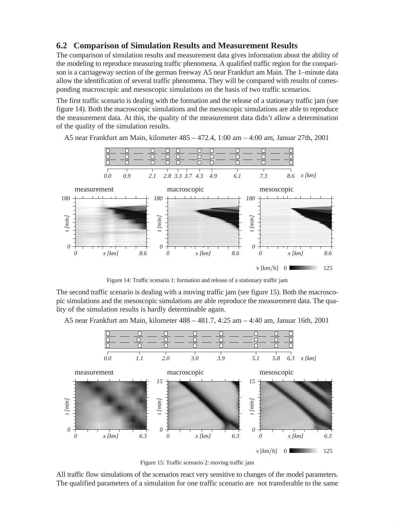### **6.2 Comparison of Simulation Results and Measurement Results**

The comparison of simulation results and measurement data gives information about the ability of the modeling to reproduce measuring traffic phenomena. A qualified traffic region for the comparison is a carriageway section of the german freeway A5 near Frankfurt am Main. The 1–minute data allow the identification of several traffic phenomena. They will be compared with results of corresponding macroscopic and mesoscopic simulations on the basis of two traffic scenarios.

The first traffic scenario is dealing with the formation and the release of a stationary traffic jam (see figure 14). Both the macroscopic simulations and the mesoscopic simulations are able to reproduce the measurement data. At this, the quality of the measurement data didn't allow a determination of the quality of the simulation results.



A5 near Frankfurt am Main, kilometer 485 – 472.4, 1:00 am – 4:00 am, Januar 27th, 2001

Figure 14: Traffic scenario 1: formation and release of a stationary traffic jam

The second traffic scenario is dealing with a moving traffic jam (see figure 15). Both the macroscopic simulations and the mesoscopic simulations are able reproduce the measurement data. The quality of the simulation results is hardly determinable again.

A5 near Frankfurt am Main, kilometer 488 – 481.7, 4:25 am – 4:40 am, Januar 16th, 2001



Figure 15: Traffic scenario 2: moving traffic jam

All traffic flow simulations of the scenarios react very sensitive to changes of the model parameters. The qualified parameters of a simulation for one traffic scenario are not transferable to the same